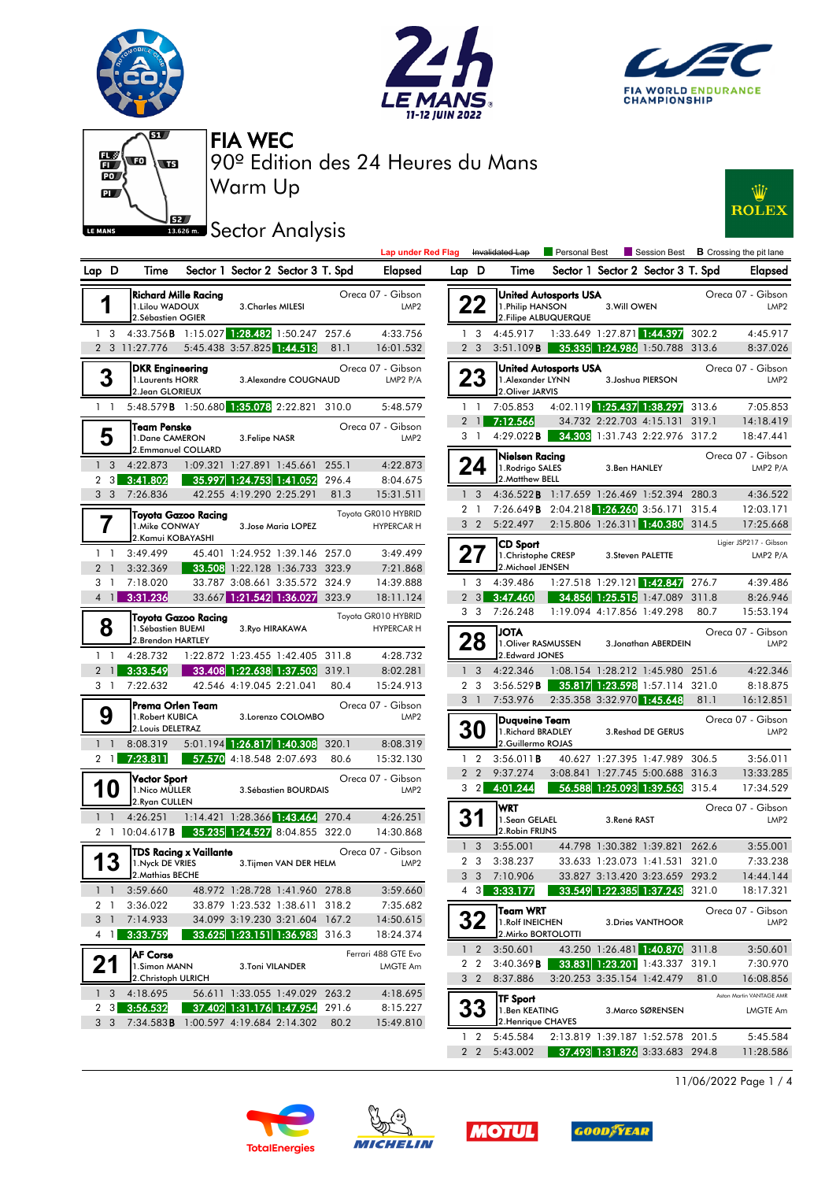



**Lap under Red Flag** Invalidated Lap



Personal Best **B** Crossing the pit lane



Warm Up 90º Edition des 24 Heures du Mans FIA WEC

## **Sector Analysis**



| D<br>Lap                      | Time                                                                |                            | Sector 1 Sector 2 Sector 3 T. Spd                        | Elapsed                        |                                       |                                          |  |  |
|-------------------------------|---------------------------------------------------------------------|----------------------------|----------------------------------------------------------|--------------------------------|---------------------------------------|------------------------------------------|--|--|
|                               | <b>Richard Mille Racing</b><br>1. Lilou WADOUX<br>2.Sébastien OGIER |                            | 3. Charles MILESI                                        |                                | Oreca 07 - Gibson<br>LMP <sub>2</sub> |                                          |  |  |
| 1<br>3<br>$\overline{2}$<br>3 | 4:33.756 <b>B</b>                                                   |                            | 1:15.027 1:28.482 1:50.247<br>5:45.438 3:57.825 1:44.513 |                                | 257.6                                 | 4:33.756                                 |  |  |
|                               | 11:27.776                                                           |                            |                                                          |                                | 81.1                                  | 16:01.532                                |  |  |
| 3                             | DKR Engineering<br>1. Laurents HORR<br>2.Jean GLORIEUX              |                            |                                                          | 3. Alexandre COUGNAUD          |                                       | Oreca 07 - Gibson<br>LMP2 $P/A$          |  |  |
| 1<br>1                        | 5:48.579B                                                           |                            | 1:50.680 1:35.078 2:22.821                               |                                | 310.0                                 | 5:48.579                                 |  |  |
| 5                             | Team Penske<br>1.Dane CAMERON<br>2.Emmanuel COLLARD                 |                            | 3. Felipe NASR                                           |                                |                                       | Oreca 07 - Gibson<br>LMP <sub>2</sub>    |  |  |
| 1<br>3                        | 4:22.873                                                            | 1:09.321                   | 1:27.891                                                 | 1:45.661                       | 255.1                                 | 4:22.873                                 |  |  |
| 3<br>2                        | 3:41.802                                                            |                            | 35.997 1:24.753 1:41.052                                 |                                | 296.4                                 | 8:04.675                                 |  |  |
| 3<br>3                        | 7:26.836                                                            |                            | 42.255 4:19.290 2:25.291                                 |                                | 81.3                                  | 15:31.511                                |  |  |
| 7                             | 1. Mike CONWAY<br>2.Kamui KOBAYASHI                                 | <b>Toyota Gazoo Racing</b> |                                                          | 3. Jose Maria LOPEZ            |                                       | Toyota GR010 HYBRID<br><b>HYPERCAR H</b> |  |  |
| 1<br>1                        | 3:49.499                                                            | 45.401                     |                                                          | 1:24.952 1:39.146              | 257.0                                 | 3:49.499                                 |  |  |
| $\overline{2}$<br>1           | 3:32.369                                                            | 33.508                     | 1:22.128 1:36.733                                        |                                | 323.9                                 | 7:21.868                                 |  |  |
| 3<br>1                        | 7:18.020                                                            |                            | 33.787 3:08.661 3:35.572                                 |                                | 324.9                                 | 14:39.888                                |  |  |
| $\overline{\mathbf{4}}$<br>l. | 3:31.236                                                            |                            | 33.667 1:21.542 1:36.027                                 |                                | 323.9                                 | 18:11.124                                |  |  |
| 8                             | 1. Sébastien BUEMI<br>2. Brendon HARTLEY                            | Toyota Gazoo Racing        | 3. Ryo HIRAKAWA                                          |                                |                                       | Toyota GR010 HYBRID<br><b>HYPERCAR H</b> |  |  |
| 1<br>1                        | 4:28.732                                                            |                            | 1:22.872 1:23.455 1:42.405                               |                                | 311.8                                 | 4:28.732                                 |  |  |
| $\overline{2}$<br>1           | 3:33.549                                                            |                            | 33.408 1:22.638 1:37.503                                 |                                | 319.1                                 | 8:02.281                                 |  |  |
| 3<br>1                        | 7:22.632                                                            |                            | 42.546 4:19.045 2:21.041                                 |                                | 80.4                                  | 15:24.913                                |  |  |
| 9                             | Prema Orlen Team<br>1. Robert KUBICA<br>2. Louis DELETRAZ           |                            |                                                          | 3.Lorenzo COLOMBO              | Oreca 07 - Gibson<br>LMP <sub>2</sub> |                                          |  |  |
| 1<br>1                        | 8:08.319                                                            |                            | 5:01.194 1:26.817 1:40.308                               |                                | 320.1                                 | 8:08.319                                 |  |  |
| 2<br>1                        | 7:23.811                                                            |                            | 57.570 4:18.548 2:07.693                                 |                                | 80.6                                  | 15:32.130                                |  |  |
| 10                            | Vector Sport<br>1.Nico MÜLLER<br>2.Ryan CULLEN                      |                            |                                                          | 3. Sébastien BOURDAIS          | Oreca 07 - Gibson<br>LMP <sub>2</sub> |                                          |  |  |
| 1<br>$\mathbf{1}$             | 4:26.251                                                            |                            | 1:14.421 1:28.366 1:43.464                               |                                | 270.4                                 | 4:26.251                                 |  |  |
| $\overline{2}$<br>1           | 10:04.617 <b>B</b>                                                  |                            | 35.235 1:24.527 8:04.855                                 |                                | 322.0                                 | 14:30.868                                |  |  |
|                               | 1. Nyck DE VRIES<br>2. Mathias BECHE                                | TDS Racing x Vaillante     |                                                          | 3. Tijmen VAN DER HELM         |                                       | Oreca 07 - Gibson<br>LMP <sub>2</sub>    |  |  |
| 1                             | 3:59.660                                                            |                            |                                                          | 48.972 1:28.728 1:41.960 278.8 |                                       | 3:59.660                                 |  |  |
| 2<br>1                        | 3:36.022                                                            |                            | 33.879 1:23.532 1:38.611                                 |                                | 318.2                                 | 7:35.682                                 |  |  |
| 3<br>1                        | 7:14.933                                                            |                            | 34.099 3:19.230 3:21.604                                 |                                | 167.2                                 | 14:50.615                                |  |  |
| 4<br>1                        | 3:33.759                                                            |                            | 33.625 1:23.151 1:36.983                                 |                                | 316.3                                 | 18:24.374                                |  |  |
| 21                            | AF Corse<br>1.Simon MANN<br>2. Christoph ULRICH                     |                            | 3.Toni VILANDER                                          |                                |                                       | Ferrari 488 GTE Evo<br>LMGTE Am          |  |  |
| 3<br>1                        | 4:18.695                                                            |                            | 56.611 1:33.055 1:49.029                                 |                                | 263.2                                 | 4:18.695                                 |  |  |
| 2<br>3                        | 3:56.532                                                            |                            | 37.402 1:31.176 1:47.954                                 |                                | 291.6                                 | 8:15.227                                 |  |  |
| 3<br>3                        | 7:34.583B                                                           |                            | 1:00.597 4:19.684 2:14.302                               |                                | 80.2                                  | 15:49.810                                |  |  |

| D      | Time                                                              |                          | Sector 1 Sector 2 Sector 3 T. Spd                                |               | Elapsed                               | Lap D                          |                                  | Time                                                                      |                            | Sector 1 Sector 2 Sector 3 T. Spd                            |       | <b>Elapsed</b>                              |
|--------|-------------------------------------------------------------------|--------------------------|------------------------------------------------------------------|---------------|---------------------------------------|--------------------------------|----------------------------------|---------------------------------------------------------------------------|----------------------------|--------------------------------------------------------------|-------|---------------------------------------------|
|        | Richard Mille Racina<br>1.Lilou WADOUX<br>2.Sébastien OGIER       | 3. Charles MILESI        |                                                                  |               | Oreca 07 - Gibson<br>LMP <sub>2</sub> |                                | 22                               | <b>United Autosports USA</b><br>1. Philip HANSON<br>2. Filipe ALBUQUERQUE | 3. Will OWEN               |                                                              |       | Oreca 07 - Gibson<br>LMP <sub>2</sub>       |
|        | 4:33.756B                                                         |                          | 1:15.027 1:28.482 1:50.247 257.6                                 |               | 4:33.756                              |                                | 1 <sup>3</sup>                   | 4:45.917                                                                  | 1:33.649 1:27.871 1:44.397 |                                                              | 302.2 | 4:45.917                                    |
|        | 3 11:27.776                                                       |                          | 5:45.438 3:57.825 1:44.513                                       | 81.1          | 16:01.532                             |                                | 2 <sub>3</sub>                   | 3:51.109B                                                                 |                            | 35.335 1:24.986 1:50.788 313.6                               |       | 8:37.026                                    |
|        | <b>DKR Engineering</b><br>1. Laurents HORR<br>2. Jean GLORIEUX    |                          | 3. Alexandre COUGNAUD                                            |               | Oreca 07 - Gibson<br>LMP2 P/A         |                                | 23                               | <b>United Autosports USA</b><br>1. Alexander LYNN<br>2.Oliver JARVIS      |                            | 3. Joshua PIERSON                                            |       | Oreca 07 - Gibson<br>LMP <sub>2</sub>       |
|        | 5:48.579 <b>B</b> 1:50.680 1:35.078 2:22.821 310.0                |                          |                                                                  |               | 5:48.579                              |                                | 1 <sup>1</sup>                   | 7:05.853                                                                  |                            | 4:02.119 1:25.437 1:38.297                                   | 313.6 | 7:05.853                                    |
|        | Team Penske<br>1.Dane CAMERON<br>2.Emmanuel COLLARD               | 3. Felipe NASR           |                                                                  |               | Oreca 07 - Gibson<br>LMP <sub>2</sub> |                                | $2 \quad 1$<br>3 1               | 7:12.566<br>$4:29.022$ <b>B</b>                                           |                            | 34.732 2:22.703 4:15.131<br>34.303 1:31.743 2:22.976 317.2   | 319.1 | 14:18.419<br>18:47.441                      |
| З<br>3 | 4:22.873<br>3:41.802                                              | 35.997 1:24.753 1:41.052 | 1:09.321 1:27.891 1:45.661 255.1                                 | 296.4         | 4:22.873<br>8:04.675                  |                                | 24                               | Nielsen Racing<br>1. Rodrigo SALES<br>2. Matthew BELL                     | 3.Ben HANLEY               |                                                              |       | Oreca 07 - Gibson<br>LMP2 P/A               |
| 3      | 7:26.836                                                          | 42.255 4:19.290 2:25.291 |                                                                  | 81.3          | 15:31.511                             |                                | 1 <sub>3</sub>                   | 4:36.522 <b>B</b> 1:17.659 1:26.469 1:52.394                              |                            |                                                              | 280.3 | 4:36.522                                    |
|        |                                                                   |                          |                                                                  |               | Toyota GR010 HYBRID                   | $\overline{2}$                 | $\overline{1}$                   | 7:26.649 <b>B</b> 2:04.218 1:26.260 3:56.171                              |                            |                                                              | 315.4 | 12:03.171                                   |
|        | <b>Toyota Gazoo Racing</b><br>1. Mike CONWAY<br>2.Kamui KOBAYASHI |                          | 3. Jose Maria LOPEZ                                              |               | <b>HYPERCAR H</b>                     |                                | 3 <sub>2</sub>                   | 5:22.497                                                                  |                            | 2:15.806 1:26.311 1:40.380                                   | 314.5 | 17:25.668                                   |
|        | 3:49.499<br>3:32.369                                              |                          | 45.401 1:24.952 1:39.146 257.0<br>33.508 1:22.128 1:36.733 323.9 |               | 3:49.499<br>7:21.868                  |                                |                                  | <b>CD Sport</b><br>1. Christophe CRESP<br>2. Michael JENSEN               |                            | 3. Steven PALETTE                                            |       | Ligier JSP217 - Gibson<br>LMP2 P/A          |
|        | 7:18.020                                                          |                          | 33.787 3:08.661 3:35.572 324.9                                   |               | 14:39.888                             |                                | 1 <sub>3</sub>                   | 4:39.486                                                                  |                            | 1:27.518 1:29.121 1:42.847                                   | 276.7 | 4:39.486                                    |
|        | 3:31.236                                                          |                          | 33.667 1:21.542 1:36.027                                         | 323.9         | 18:11.124                             |                                | $2 \quad 3$                      | 3:47.460                                                                  | 34.856 1:25.515 1:47.089   |                                                              | 311.8 | 8:26.946                                    |
|        | <b>Toyota Gazoo Racing</b>                                        |                          |                                                                  |               | Toyota GR010 HYBRID                   |                                | 3 <sub>3</sub>                   | 7:26.248                                                                  | 1:19.094 4:17.856 1:49.298 |                                                              | 80.7  | 15:53.194                                   |
|        | 1. Sébastien BUEMI<br>2.Brendon HARTLEY                           | 3. Ryo HIRAKAWA          |                                                                  |               | <b>HYPERCAR H</b>                     |                                | 28                               | <b>JOTA</b><br>1. Oliver RASMUSSEN                                        |                            | 3. Jonathan ABERDEIN                                         |       | Oreca 07 - Gibson<br>LMP <sub>2</sub>       |
|        | 4:28.732                                                          |                          | 1:22.872 1:23.455 1:42.405 311.8                                 |               | 4:28.732                              |                                |                                  | 2.Edward JONES                                                            |                            |                                                              |       |                                             |
|        | 3:33.549<br>7:22.632                                              | 42.546 4:19.045 2:21.041 | 33.408 1:22.638 1:37.503                                         | 319.1<br>80.4 | 8:02.281<br>15:24.913                 | $\mathbf{1}$<br>$\overline{2}$ | 3<br>3                           | 4:22.346<br>3:56.529B                                                     |                            | 1:08.154 1:28.212 1:45.980 251.6                             |       | 4:22.346                                    |
|        |                                                                   |                          |                                                                  |               |                                       |                                | 3 <sup>1</sup>                   | 7:53.976                                                                  | 2:35.358 3:32.970 1:45.648 | 35.817 1:23.598 1:57.114 321.0                               | 81.1  | 8:18.875<br>16:12.851                       |
|        | lPrema Orlen Team<br>1.Robert KUBICA<br>2. Louis DELETRAZ         |                          | 3.Lorenzo COLOMBO                                                |               | Oreca 07 - Gibson<br>LMP <sub>2</sub> |                                | <b>30</b>                        | Duqueine Team<br>1. Richard BRADLEY                                       |                            | 3. Reshad DE GERUS                                           |       | Oreca 07 - Gibson<br>LMP <sub>2</sub>       |
|        | 8:08.319                                                          |                          | 5:01.194 1:26.817 1:40.308                                       | 320.1         | 8:08.319                              |                                |                                  | 2.Guillermo ROJAS                                                         |                            |                                                              |       |                                             |
|        | 7:23.811                                                          | 57.570 4:18.548 2:07.693 |                                                                  | 80.6          | 15:32.130                             |                                | 1 <sub>2</sub>                   | 3:56.011B                                                                 | 40.627 1:27.395 1:47.989   |                                                              | 306.5 | 3:56.011                                    |
|        | Vector Sport<br>1. Nico MÜLLER                                    |                          | 3. Sébastien BOURDAIS                                            |               | Oreca 07 - Gibson<br>LMP <sub>2</sub> |                                | 2 <sub>2</sub><br>$3 \quad 2$    | 9:37.274<br>4:01.244                                                      |                            | 3:08.841 1:27.745 5:00.688<br>56.588 1:25.093 1:39.563 315.4 | 316.3 | 13:33.285<br>17:34.529                      |
|        | 2.Ryan CULLEN<br>4:26.251                                         |                          | 1:14.421 1:28.366 1:43.464                                       | 270.4         | 4:26.251                              |                                | 31                               | <b>WRT</b><br>1.Sean GELAEL                                               | 3.René RAST                |                                                              |       | Oreca 07 - Gibson<br>LMP <sub>2</sub>       |
|        | 10:04.617 <b>B</b>                                                |                          | 35.235 1:24.527 8:04.855 322.0                                   |               | 14:30.868                             |                                |                                  | 2. Robin FRIJNS                                                           |                            |                                                              |       |                                             |
|        | TDS Racina x Vaillante                                            |                          |                                                                  |               | Oreca 07 - Gibson                     |                                | 1 <sup>3</sup>                   | 3:55.001                                                                  |                            | 44.798 1:30.382 1:39.821                                     | 262.6 | 3:55.001                                    |
|        | 1. Nyck DE VRIES<br>2. Mathias BECHE                              |                          | 3. Tijmen VAN DER HELM                                           |               | LMP <sub>2</sub>                      |                                | 2 <sub>3</sub>                   | 3:38.237                                                                  |                            | 33.633 1:23.073 1:41.531<br>33.827 3:13.420 3:23.659 293.2   | 321.0 | 7:33.238                                    |
|        | 3:59.660                                                          |                          | 48.972 1:28.728 1:41.960 278.8                                   |               | 3:59.660                              |                                | 3 <sub>3</sub>                   | 7:10.906<br>4 3 3:33.177                                                  |                            | 33.549 1:22.385 1:37.243 321.0                               |       | 14:44.144<br>18:17.321                      |
|        | 3:36.022                                                          |                          | 33.879 1:23.532 1:38.611 318.2                                   |               | 7:35.682                              |                                |                                  |                                                                           |                            |                                                              |       |                                             |
|        | 7:14.933                                                          |                          | 34.099 3:19.230 3:21.604 167.2                                   |               | 14:50.615                             |                                |                                  | Team WRT<br>1.Rolf INEICHEN                                               |                            | 3. Dries VANTHOOR                                            |       | Oreca 07 - Gibson<br>LMP <sub>2</sub>       |
|        | 3:33.759                                                          |                          | 33.625 1:23.151 1:36.983                                         | 316.3         | 18:24.374                             |                                |                                  | 2. Mirko BORTOLOTTI                                                       |                            |                                                              |       |                                             |
|        | <b>AF Corse</b>                                                   |                          |                                                                  |               | Ferrari 488 GTE Evo                   |                                | 1 <sub>2</sub>                   | 3:50.601                                                                  |                            | 43.250 1:26.481 1:40.870 311.8                               |       | 3:50.601                                    |
|        | 1.Simon MANN<br>2.Christoph ULRICH                                | 3.Toni VILANDER          |                                                                  |               | LMGTE Am                              |                                | 2 <sub>2</sub><br>3 <sub>2</sub> | 3:40.369B<br>8:37.886                                                     |                            | 33.831 1:23.201 1:43.337 319.1                               |       | 7:30.970                                    |
| 3      | 4:18.695                                                          |                          | 56.611 1:33.055 1:49.029                                         | 263.2         | 4:18.695                              |                                |                                  |                                                                           | 3:20.253 3:35.154 1:42.479 |                                                              | 81.0  | 16:08.856                                   |
|        | 3:56.532                                                          | 37.402 1:31.176 1:47.954 |                                                                  | 291.6         | 8:15.227                              |                                |                                  | <b>TF Sport</b>                                                           |                            |                                                              |       | Aston Martin VANTAGE AMR<br><b>LMGTE Am</b> |
| 3      | 7:34.583B 1:00.597 4:19.684 2:14.302                              |                          |                                                                  | 80.2          | 15:49.810                             |                                |                                  | 1.Ben KEATING<br>2. Henrique CHAVES                                       |                            | 3. Marco SØRENSEN                                            |       |                                             |
|        |                                                                   |                          |                                                                  |               |                                       |                                | $1\quad 2$                       | 5:45.584                                                                  |                            | 2:13.819 1:39.187 1:52.578 201.5                             |       | 5:45.584                                    |
|        |                                                                   |                          |                                                                  |               |                                       |                                | 2 <sub>2</sub>                   | 5:43.002                                                                  |                            | 37.493 1:31.826 3:33.683 294.8                               |       | 11:28.586                                   |

11/06/2022 Page 1 / 4







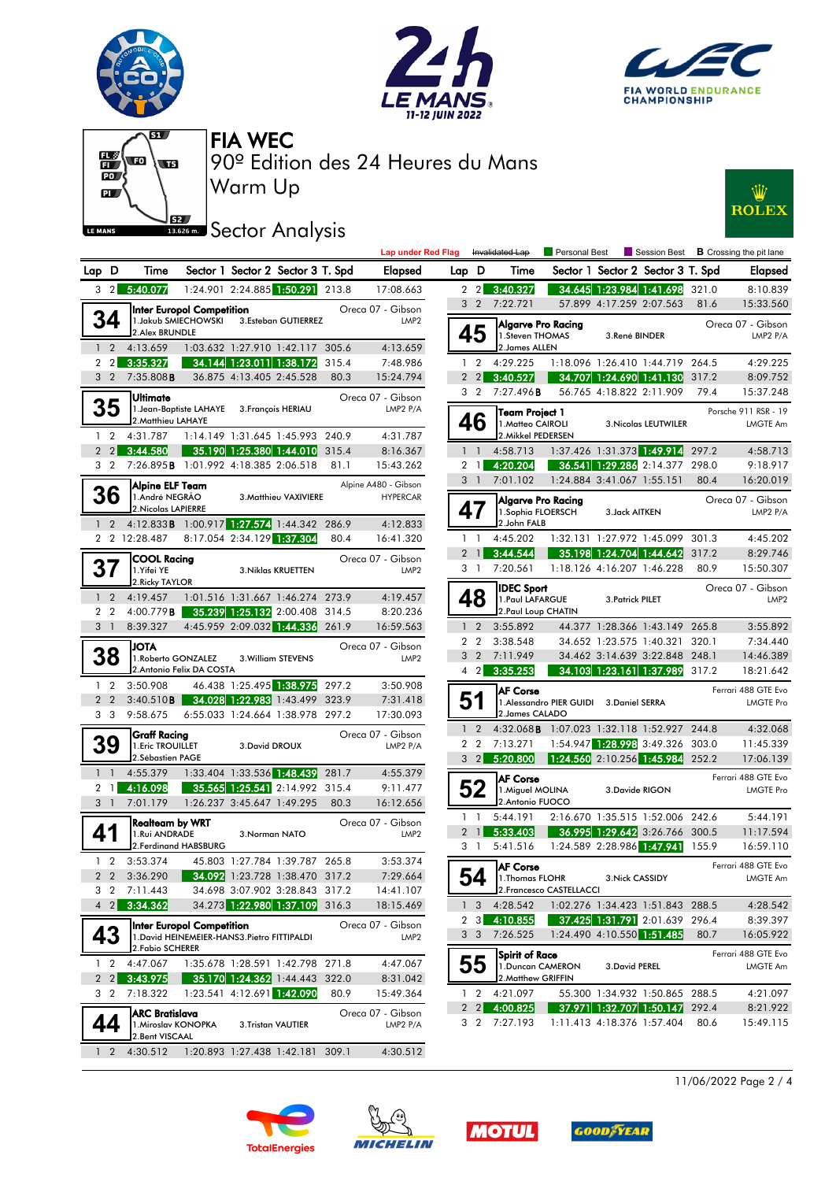







Warm Up 90º Edition des 24 Heures du Mans FIA WEC

## **SEZ**<br>**Sector Analysis**



|                |                |                                                          |                                                                                  |                                   |                       |                                 | <b>Lap under Red</b>                    |  |  |
|----------------|----------------|----------------------------------------------------------|----------------------------------------------------------------------------------|-----------------------------------|-----------------------|---------------------------------|-----------------------------------------|--|--|
| Lap            | D              | Time                                                     |                                                                                  | Sector 1 Sector 2 Sector 3 T. Spd |                       |                                 | Elapsed                                 |  |  |
| 3              | $\overline{2}$ | 5:40.077                                                 |                                                                                  | 1:24.901 2:24.885 1:50.291        |                       | 213.8                           | 17:08.663                               |  |  |
|                |                | 2.Alex BRUNDLE                                           | <b>Inter Europol Competition</b><br>1. Jakub SMIECHOWSKI                         |                                   | 3.Esteban GUTIERREZ   |                                 | Oreca 07 - Gibson<br>LMP <sub>2</sub>   |  |  |
| $\mathbf{1}$   | $\overline{2}$ | 4:13.659                                                 |                                                                                  | 1:03.632 1:27.910 1:42.117        |                       | 305.6                           | 4:13.659                                |  |  |
| 2              | $\overline{2}$ | 3:35.327                                                 | 34.144                                                                           | 1:23.011                          | 1:38.172              | 315.4                           | 7:48.986                                |  |  |
| 3              | $\overline{2}$ | 7:35.808B                                                |                                                                                  | 36.875 4:13.405 2:45.528          |                       | 80.3                            | 15:24.794                               |  |  |
|                |                | Ultimate<br>2. Matthieu LAHAYE                           | 1.Jean-Baptiste LAHAYE                                                           |                                   | 3. François HERIAU    |                                 | Oreca 07 - Gibson<br>LMP2 $P/A$         |  |  |
| 1              | $\overline{2}$ | 4:31.787                                                 |                                                                                  | 1:14.149 1:31.645 1:45.993        |                       | 240.9                           | 4:31.787                                |  |  |
| $\overline{2}$ | $\overline{2}$ | 3:44.580                                                 |                                                                                  | 35.190 1:25.380 1:44.010          |                       | 315.4                           | 8:16.367                                |  |  |
| 3              | 2              | 7:26.895B                                                |                                                                                  | 1:01.992 4:18.385 2:06.518        |                       | 81.1                            | 15:43.262                               |  |  |
|                | 36             | Alpine ELF Team<br>1.André NEGRÃO<br>2. Nicolas LAPIERRE |                                                                                  |                                   | 3. Matthieu VAXIVIERE |                                 | Alpine A480 - Gibson<br><b>HYPERCAR</b> |  |  |
| $\mathbf{1}$   | $\overline{2}$ | 4:12.833B                                                |                                                                                  | 1:00.917 1:27.574                 | 1:44.342              | 286.9                           | 4:12.833                                |  |  |
| $\overline{2}$ | $\overline{2}$ | 12:28.487                                                |                                                                                  | 8:17.054 2:34.129 1:37.304        |                       | 80.4                            | 16:41.320                               |  |  |
| 37             |                | COOL Racing<br>1.Yifei YE<br>2. Ricky TAYLOR             |                                                                                  |                                   | 3. Niklas KRUETTEN    |                                 | Oreca 07 - Gibson<br>LMP <sub>2</sub>   |  |  |
| 1              | $\overline{2}$ | 4:19.457                                                 |                                                                                  | 1:01.516 1:31.667 1:46.274        |                       | 273.9                           | 4:19.457                                |  |  |
| $\overline{2}$ | $\overline{2}$ | 4:00.779B                                                |                                                                                  | 35.239 1:25.132                   | 2:00.408              | 314.5                           | 8:20.236                                |  |  |
| 3              | $\mathbf{1}$   | 8:39.327                                                 |                                                                                  | 4:45.959 2:09.032 1:44.336        |                       | 261.9                           | 16:59.563                               |  |  |
|                | 8              | <b>ATOL</b><br>1. Roberto GONZALEZ                       | 2.Antonio Felix DA COSTA                                                         |                                   | 3. William STEVENS    |                                 | Oreca 07 - Gibson<br>LMP <sub>2</sub>   |  |  |
| 1              | $\overline{2}$ | 3:50.908                                                 |                                                                                  | 46.438 1:25.495 1:38.975          |                       | 297.2                           | 3:50.908                                |  |  |
| $\overline{2}$ | $\overline{2}$ | 3:40.510B                                                |                                                                                  | 34.028 1:22.983                   | 1:43.499              | 323.9                           | 7:31.418                                |  |  |
| 3              | 3              | 9:58.675                                                 |                                                                                  | 6:55.033 1:24.664 1:38.978        |                       | 297.2                           | 17:30.093                               |  |  |
|                | 39             | Graff Racing<br>1. Eric TROUILLET<br>2.Sébastien PAGE    |                                                                                  | 3. David DROUX                    |                       | Oreca 07 - Gibson<br>LMP2 $P/A$ |                                         |  |  |
| 1              | 1              | 4:55.379                                                 |                                                                                  | 1:33.404 1:33.536 1:48.439        |                       | 281.7                           | 4:55.379                                |  |  |
| $\overline{2}$ | 1              | 4:16.098                                                 | 35.565                                                                           | 1:25.541                          | 2:14.992              | 315.4                           | 9:11.477                                |  |  |
| 3              | 1              | 7:01.179                                                 |                                                                                  | 1:26.237 3:45.647 1:49.295        |                       | 80.3                            | 16:12.656                               |  |  |
|                |                | Realteam by WRT<br>1.Rui ANDRADE                         | 2.Ferdinand HABSBURG                                                             | 3. Norman NATO                    |                       |                                 | Oreca 07 - Gibson<br>LMP <sub>2</sub>   |  |  |
| 1              | $\overline{2}$ | 3:53.374                                                 |                                                                                  | 45.803 1:27.784 1:39.787          |                       | 265.8                           | 3:53.374                                |  |  |
| 2              | 2              | 3:36.290                                                 |                                                                                  | 34.092 1:23.728 1:38.470          |                       | 317.2                           | 7:29.664                                |  |  |
| 3              | $\overline{2}$ | 7:11.443                                                 |                                                                                  | 34.698 3:07.902 3:28.843          |                       | 317.2                           | 14:41.107                               |  |  |
| 4              | $\overline{2}$ | 3:34.362                                                 |                                                                                  | 34.273 1:22.980 1:37.109          |                       | 316.3                           | 18:15.469                               |  |  |
|                |                | 2. Fabio SCHERER                                         | <b>Inter Europol Competition</b><br>1. David HEINEMEIER-HANS3. Pietro FITTIPALDI |                                   |                       |                                 | Oreca 07 - Gibson<br>LMP <sub>2</sub>   |  |  |
| 1              | 2              | 4:47.067                                                 |                                                                                  | 1:35.678 1:28.591                 | 1:42.798              | 271.8                           | 4:47.067                                |  |  |
| 2              | $\overline{2}$ | 3:43.975                                                 |                                                                                  | 35.170 1:24.362                   | 1:44.443              | 322.0                           | 8:31.042                                |  |  |
| 3              | 2              | 7:18.322                                                 |                                                                                  | 1:23.541 4:12.691 1:42.090        |                       | 80.9                            | 15:49.364                               |  |  |
|                | 44             | ARC Bratislava<br>1. Miroslav KONOPKA<br>2.Bent VISCAAL  |                                                                                  |                                   | 3. Tristan VAUTIER    |                                 | Oreca 07 - Gibson<br>LMP2 P/A           |  |  |
| 1              | 2              | 4:30.512                                                 |                                                                                  | 1:20.893 1:27.438 1:42.181        |                       | 309.1                           | 4:30.512                                |  |  |

|                               |                                                                                      |                                  |                            |                                   |       | <b>Lap under Red Flag</b>             |              |                             | Invalidated Lap                                         | Personal Best                    |                            | Session Best                                                 |               | <b>B</b> Crossing the pit lane                       |
|-------------------------------|--------------------------------------------------------------------------------------|----------------------------------|----------------------------|-----------------------------------|-------|---------------------------------------|--------------|-----------------------------|---------------------------------------------------------|----------------------------------|----------------------------|--------------------------------------------------------------|---------------|------------------------------------------------------|
| D                             | Time                                                                                 |                                  |                            | Sector 1 Sector 2 Sector 3 T. Spd |       | <b>Elapsed</b>                        |              | Lap D                       | Time                                                    |                                  |                            | Sector 1 Sector 2 Sector 3 T. Spd                            |               | <b>Elapsed</b>                                       |
| $\overline{2}$                | 5:40.077                                                                             |                                  | 1:24.901 2:24.885 1:50.291 |                                   | 213.8 | 17:08.663                             |              | $2\quad2$                   | 3:40.327                                                | 34.645                           |                            | 1:23.984 1:41.698                                            | 321.0         | 8:10.839                                             |
|                               |                                                                                      | <b>Inter Europol Competition</b> |                            |                                   |       | Oreca 07 - Gibson                     |              | 3 <sub>2</sub>              | 7:22.721                                                |                                  | 57.899 4:17.259 2:07.563   |                                                              | 81.6          | 15:33.560                                            |
|                               | 1. Jakub SMIECHOWSKI<br>2. Alex BRUNDLE                                              |                                  |                            | 3.Esteban GUTIERREZ               |       | LMP <sub>2</sub>                      |              | 45                          | Algarve Pro Racing<br>1.Steven THOMAS                   |                                  | 3.René BINDER              |                                                              |               | Oreca 07 - Gibson<br>LMP2 P/A                        |
|                               | 4:13.659                                                                             |                                  |                            | 1:03.632 1:27.910 1:42.117 305.6  |       | 4:13.659                              |              |                             | 2. James ALLEN                                          |                                  |                            |                                                              |               |                                                      |
| 2                             | 3:35.327                                                                             |                                  | 34.144 1:23.011 1:38.172   |                                   | 315.4 | 7:48.986                              |              | $1\quad 2$                  | 4:29.225                                                |                                  |                            | 1:18.096 1:26.410 1:44.719 264.5                             |               | 4:29.225                                             |
| 2                             | 7:35.808B                                                                            |                                  | 36.875 4:13.405 2:45.528   |                                   | 80.3  | 15:24.794                             |              | $2\quad2$<br>3 <sub>2</sub> | 3:40.527<br>7:27.496 <b>B</b>                           |                                  | 56.765 4:18.822 2:11.909   | 34.707 1:24.690 1:41.130                                     | 317.2<br>79.4 | 8:09.752                                             |
|                               | lUltimate<br>2. Matthieu LAHAYE                                                      | 1. Jean-Baptiste LAHAYE          |                            | 3. François HERIAU                |       | Oreca 07 - Gibson<br>LMP2 P/A         |              | 46                          | <b>Team Project 1</b><br>1.Matteo CAIROLI               |                                  |                            | <b>3. Nicolas LEUTWILER</b>                                  |               | 15:37.248<br>Porsche 911 RSR - 19<br><b>LMGTE Am</b> |
| 2                             | 4:31.787                                                                             |                                  |                            | 1:14.149 1:31.645 1:45.993 240.9  |       | 4:31.787                              |              |                             | 2. Mikkel PEDERSEN                                      |                                  |                            |                                                              |               |                                                      |
| $\overline{2}$ $\overline{1}$ | 3:44.580                                                                             |                                  |                            | 35.190 1:25.380 1:44.010          | 315.4 | 8:16.367                              | $\mathbf{1}$ | $\overline{1}$              | 4:58.713                                                |                                  |                            | 1:37.426 1:31.373 1:49.914                                   | 297.2         | 4:58.713                                             |
| 2                             | 7:26.895B 1:01.992 4:18.385 2:06.518                                                 |                                  |                            |                                   | 81.1  | 15:43.262                             |              | $2 \quad 1$                 | 4:20.204                                                |                                  |                            | 36.541 1:29.286 2:14.377                                     | 298.0         | 9:18.917                                             |
|                               | Alpine ELF Team                                                                      |                                  |                            |                                   |       | Alpine A480 - Gibson                  |              | 3 <sup>1</sup>              | 7:01.102                                                |                                  | 1:24.884 3:41.067 1:55.151 |                                                              | 80.4          | 16:20.019                                            |
|                               | 1.André NEGRÃO<br>2.Nicolas LAPIERRE<br>4:12.833 <b>B</b> 1:00.917 1:27.574 1:44.342 |                                  |                            | 3. Matthieu VAXIVIERE             | 286.9 | <b>HYPERCAR</b><br>4:12.833           |              | 47                          | Algarve Pro Racing<br>1. Sophia FLOERSCH<br>2.John FALB |                                  | 3. Jack AITKEN             |                                                              |               | Oreca 07 - Gibson<br>LMP2 P/A                        |
|                               | 2 12:28.487                                                                          |                                  | 8:17.054 2:34.129 1:37.304 |                                   | 80.4  | 16:41.320                             |              | $1\quad$                    | 4:45.202                                                |                                  |                            | 1:32.131 1:27.972 1:45.099                                   | 301.3         | 4:45.202                                             |
|                               |                                                                                      |                                  |                            |                                   |       |                                       |              | 2 <sub>1</sub>              | 3:44.544                                                |                                  |                            | 35.198 1:24.704 1:44.642                                     | 317.2         | 8:29.746                                             |
|                               | COOL Racina<br>1.Yifei YE                                                            |                                  |                            | 3. Niklas KRUETTEN                |       | Oreca 07 - Gibson<br>LMP <sub>2</sub> |              | 3 1                         | 7:20.561                                                |                                  | 1:18.126 4:16.207 1:46.228 |                                                              | 80.9          | 15:50.307                                            |
|                               | 2. Ricky TAYLOR                                                                      |                                  |                            |                                   |       |                                       |              |                             |                                                         |                                  |                            |                                                              |               |                                                      |
| 2                             | 4:19.457                                                                             |                                  |                            | 1:01.516 1:31.667 1:46.274 273.9  |       | 4:19.457                              |              |                             | <b>IDEC Sport</b><br>1. Paul LAFARGUE                   |                                  | 3. Patrick PILET           |                                                              |               | Oreca 07 - Gibson<br>LMP <sub>2</sub>                |
|                               | 4:00.779B                                                                            |                                  |                            | 35.239 1:25.132 2:00.408 314.5    |       | 8:20.236                              |              |                             | 2. Paul Loup CHATIN                                     |                                  |                            |                                                              |               |                                                      |
|                               | 8:39.327                                                                             |                                  |                            | 4:45.959 2:09.032 1:44.336 261.9  |       | 16:59.563                             | $\mathbf{1}$ | $\overline{2}$              | 3:55.892                                                |                                  | 44.377 1:28.366 1:43.149   |                                                              | 265.8         | 3:55.892                                             |
|                               | <b>ATOL</b>                                                                          |                                  |                            |                                   |       | Oreca 07 - Gibson                     |              | 2 <sub>2</sub>              | 3:38.548                                                |                                  | 34.652 1:23.575 1:40.321   |                                                              | 320.1         | 7:34.440                                             |
|                               | 1. Roberto GONZALEZ                                                                  |                                  |                            | 3. William STEVENS                |       | LMP <sub>2</sub>                      |              | 3 <sub>2</sub>              | 7:11.949                                                |                                  |                            | 34.462 3:14.639 3:22.848                                     | 248.1         | 14:46.389                                            |
|                               |                                                                                      | 2. Antonio Felix DA COSTA        |                            |                                   |       |                                       |              | $4\quad2$                   | 3:35.253                                                |                                  |                            | 34.103 1:23.161 1:37.989                                     | 317.2         | 18:21.642                                            |
|                               | 3:50.908                                                                             |                                  | 46.438 1:25.495 1:38.975   |                                   | 297.2 | 3:50.908                              |              |                             | <b>AF Corse</b>                                         |                                  |                            |                                                              |               | Ferrari 488 GTE Evo                                  |
|                               | 3:40.510B                                                                            |                                  |                            | 34.028 1:22.983 1:43.499          | 323.9 | 7:31.418                              |              | 51                          |                                                         | 1. Alessandro PIER GUIDI         | <b>3.Daniel SERRA</b>      |                                                              |               | <b>LMGTE Pro</b>                                     |
|                               | 9:58.675                                                                             |                                  |                            | 6:55.033 1:24.664 1:38.978 297.2  |       | 17:30.093                             |              |                             | 2. James CALADO                                         |                                  |                            |                                                              |               |                                                      |
|                               | <b>Graff Racing</b>                                                                  |                                  |                            |                                   |       | Oreca 07 - Gibson                     | $\mathbf{1}$ | $\overline{2}$              | 4:32.068B 1:07.023 1:32.118 1:52.927 244.8              |                                  |                            |                                                              |               | 4:32.068                                             |
|                               | 1. Eric TROUILLET                                                                    |                                  | 3. David DROUX             |                                   |       | LMP2 $P/A$                            |              | 2 <sub>2</sub>              | 7:13.271                                                |                                  |                            | 1:54.947 1:28.998 3:49.326                                   | 303.0         | 11:45.339                                            |
|                               | 2.Sébastien PAGE                                                                     |                                  |                            | 1:33.404 1:33.536 1:48.439        | 281.7 |                                       |              | $3 \quad 2$                 | 5:20.800                                                | 1:24.560 2:10.256 1:45.984 252.2 |                            |                                                              |               | 17:06.139                                            |
|                               | 4:55.379<br>4:16.098                                                                 |                                  |                            | 35.565 1:25.541 2:14.992 315.4    |       | 4:55.379<br>9:11.477                  |              | 52                          | <b>AF Corse</b>                                         |                                  |                            |                                                              |               | Ferrari 488 GTE Evo                                  |
|                               | 7:01.179                                                                             |                                  | 1:26.237 3:45.647 1:49.295 |                                   | 80.3  | 16:12.656                             |              |                             | 1. Miguel MOLINA<br>2. Antonio FUOCO                    |                                  | 3.Davide RIGON             |                                                              |               | <b>LMGTE Pro</b>                                     |
|                               |                                                                                      |                                  |                            |                                   |       |                                       |              | $1\quad$                    | 5:44.191                                                |                                  |                            | 2:16.670 1:35.515 1:52.006 242.6                             |               | 5:44.191                                             |
|                               | Realteam by WRT<br>1.Rui ANDRADE                                                     |                                  | 3. Norman NATO             |                                   |       | Oreca 07 - Gibson<br>LMP <sub>2</sub> |              | $2 \mid$                    | 5:33.403                                                |                                  |                            | 36.995 1:29.642 3:26.766 300.5                               |               | 11:17.594                                            |
|                               |                                                                                      | 2. Ferdinand HABSBURG            |                            |                                   |       |                                       |              | 3 1                         | 5:41.516                                                |                                  |                            | 1:24.589 2:28.986 1:47.941                                   | 155.9         | 16:59.110                                            |
| 2                             | 3:53.374                                                                             |                                  |                            | 45.803 1:27.784 1:39.787 265.8    |       | 3:53.374                              |              |                             | <b>AF Corse</b>                                         |                                  |                            |                                                              |               | Ferrari 488 GTE Evo                                  |
|                               | 3:36.290                                                                             |                                  |                            | 34.092 1:23.728 1:38.470 317.2    |       | 7:29.664                              | J            | ξЛ                          | 1. Thomas FLOHR                                         |                                  | 3. Nick CASSIDY            |                                                              |               | LMGTE Am                                             |
| 2                             | 7:11.443                                                                             |                                  |                            | 34.698 3:07.902 3:28.843 317.2    |       | 14:41.107                             |              |                             |                                                         | 2. Francesco CASTELLACCI         |                            |                                                              |               |                                                      |
| $2\mathsf{l}$                 | 3:34.362                                                                             |                                  |                            | 34.273 1:22.980 1:37.109 316.3    |       | 18:15.469                             |              |                             | $1 \quad 3 \quad 4:28.542$                              |                                  |                            | 1:02.276 1:34.423 1:51.843 288.5                             |               | 4:28.542                                             |
|                               |                                                                                      | <b>Inter Europol Competition</b> |                            |                                   |       | Oreca 07 - Gibson                     |              | $2 \quad 3$                 | 4:10.855                                                |                                  |                            | <b>37.425</b> 1: <b>31.791</b> 2:01.639                      | 296.4         | 8:39.397                                             |
|                               | 1. David HEINEMEIER-HANS3. Pietro FITTIPALDI                                         |                                  |                            |                                   |       | LMP <sub>2</sub>                      |              | 3 <sup>3</sup>              | 7:26.525                                                |                                  | 1:24.490 4:10.550 1:51.485 |                                                              | 80.7          | 16:05.922                                            |
|                               | 2. Fabio SCHERER                                                                     |                                  |                            |                                   |       |                                       |              |                             | Spirit of Race                                          |                                  |                            |                                                              |               | Ferrari 488 GTE Evo                                  |
| 2                             | 4:47.067                                                                             |                                  |                            | 1:35.678 1:28.591 1:42.798 271.8  |       | 4:47.067                              |              | 55                          | 1. Duncan CAMERON                                       |                                  | 3. David PEREL             |                                                              |               | <b>LMGTE Am</b>                                      |
| $\overline{2}$ $\overline{ }$ | 3:43.975                                                                             |                                  |                            | 35.170 1:24.362 1:44.443 322.0    |       | 8:31.042                              |              |                             | 2. Matthew GRIFFIN                                      |                                  |                            |                                                              |               |                                                      |
| 2                             | 7:18.322                                                                             |                                  | 1:23.541 4:12.691 1:42.090 |                                   | 80.9  | 15:49.364                             |              | $1\quad 2$                  | 4:21.097                                                |                                  |                            | 55.300 1:34.932 1:50.865 288.5                               |               | 4:21.097                                             |
|                               | ARC Bratislava                                                                       |                                  |                            |                                   |       | Oreca 07 - Gibson                     |              |                             | $2\quad 2$ 4:00.825<br>3 2 7:27.193                     |                                  |                            | 37.971 1:32.707 1:50.147 292.4<br>1:11.413 4:18.376 1:57.404 | 80.6          | 8:21.922<br>15:49.115                                |
|                               | 11 Miroslav KONOPKA                                                                  |                                  | 3.Tristan VAUTIER          |                                   |       | LMP2 P/A                              |              |                             |                                                         |                                  |                            |                                                              |               |                                                      |







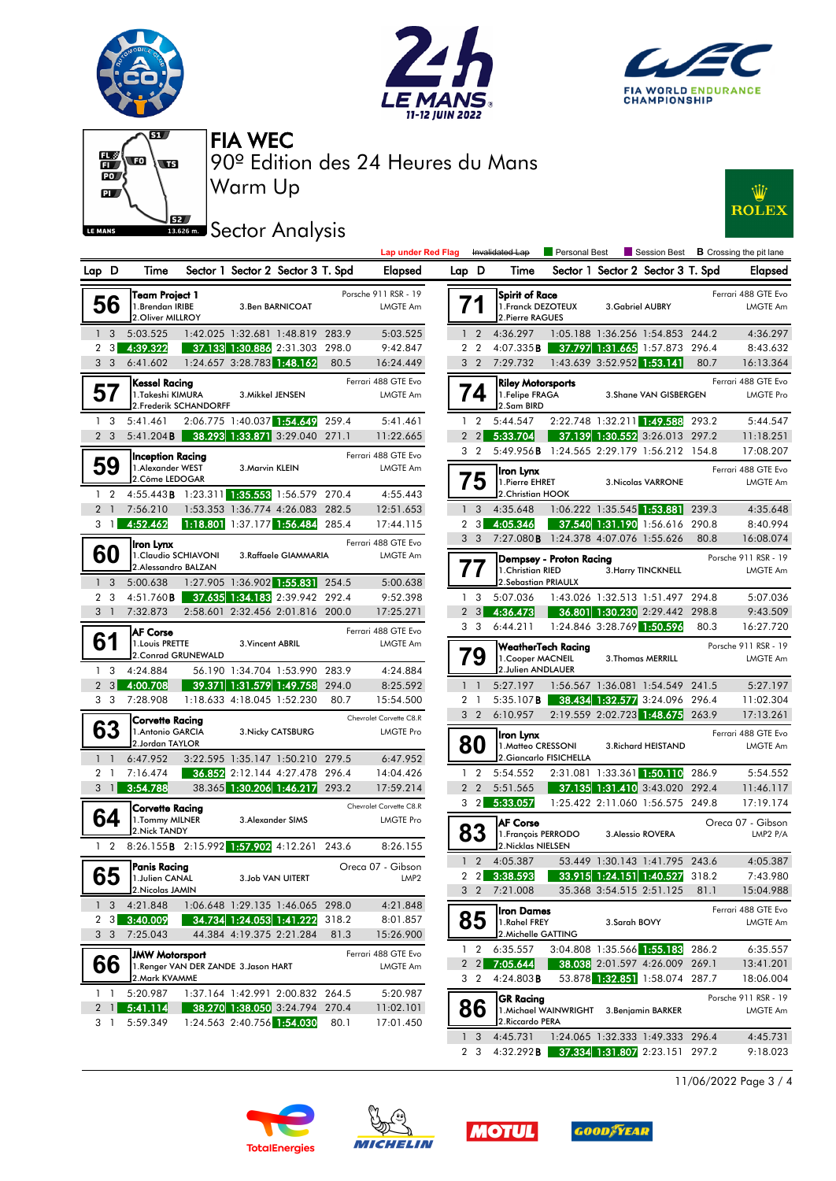







Warm Up 90º Edition des 24 Heures du Mans FIA WEC

## **J**<br>**Bases on** Sector Analysis



| Lap            | D              | Time                                                       |                                     |                            | Sector 1 Sector 2 Sector 3 T. Spd | Elapsed |                                             |  |  |  |
|----------------|----------------|------------------------------------------------------------|-------------------------------------|----------------------------|-----------------------------------|---------|---------------------------------------------|--|--|--|
|                | 56             | Team Project 1<br>1.Brendan IRIBE<br>2. Oliver MILLROY     |                                     |                            | 3.Ben BARNICOAT                   |         | Porsche 911 RSR - 19<br>LMGTE Am            |  |  |  |
| 1              | 3              | 5:03.525                                                   | 1:42.025 1:32.681                   |                            | 1:48.819                          | 283.9   | 5:03.525                                    |  |  |  |
| 2              | 3              | 4:39.322                                                   |                                     | 37.133 1:30.886 2:31.303   |                                   | 298.0   | 9:42.847                                    |  |  |  |
| 3              | 3              | 6:41.602                                                   | 1:24.657                            |                            | 3:28.783 1:48.162                 | 80.5    | 16:24.449                                   |  |  |  |
|                |                | Kessel Racing                                              |                                     |                            |                                   |         | Ferrari 488 GTE Evo                         |  |  |  |
|                |                | 1. Takeshi KIMURA                                          | 2. Frederik SCHANDORFF              | 3. Mikkel JENSEN           |                                   |         | <b>LMGTE Am</b>                             |  |  |  |
| 1              | 3              | 5:41.461                                                   |                                     |                            | 2:06.775 1:40.037 1:54.649        | 259.4   | 5:41.461                                    |  |  |  |
| $\overline{2}$ | 3              | 5:41.204B                                                  | 38.293                              | 1:33.871 3:29.040          |                                   | 271.1   | 11:22.665                                   |  |  |  |
|                | 59             | Inception Racing<br>1.Alexander WEST<br>2. Côme LEDOGAR    |                                     | 3. Marvin KLEIN            |                                   |         | Ferrari 488 GTE Evo<br><b>LMGTE Am</b>      |  |  |  |
| 1              | $\overline{2}$ | 4:55.443B                                                  |                                     |                            | 1:23.311 1:35.553 1:56.579        | 270.4   | 4:55.443                                    |  |  |  |
| $\overline{2}$ | $\mathbf{1}$   | 7:56.210                                                   | 1:53.353                            |                            | 1:36.774 4:26.083                 | 282.5   | 12:51.653                                   |  |  |  |
| 3              | 1              | 4:52.462                                                   | 1:18.801                            |                            | 1:37.177 1:56.484                 | 285.4   | 17:44.115                                   |  |  |  |
|                | 60             | Iron Lynx<br>1. Claudio SCHIAVONI<br>2.Alessandro BALZAN   |                                     |                            | 3.Raffaele GIAMMARIA              |         | Ferrari 488 GTE Evo<br>LMGTE Am             |  |  |  |
| 1              | 3              | 5:00.638                                                   | 1:27.905                            | 1:36.902 1:55.831          |                                   | 254.5   | 5:00.638                                    |  |  |  |
| $\overline{2}$ | 3              | 4:51.760 <b>B</b>                                          |                                     | 37.635 1:34.183 2:39.942   |                                   | 292.4   | 9:52.398                                    |  |  |  |
| 3              | $\mathbf{1}$   | 7:32.873                                                   | 2:58.601                            |                            | 2:32.456 2:01.816                 | 200.0   | 17:25.271                                   |  |  |  |
| 6              |                | <b>AF Corse</b><br>1. Louis PRETTE<br>2. Conrad GRUNEWALD  |                                     | 3. Vincent ABRIL           |                                   |         | Ferrari 488 GTE Evo<br>LMGTE Am             |  |  |  |
| 1              | 3              | 4:24.884                                                   |                                     | 56.190 1:34.704 1:53.990   |                                   | 283.9   | 4:24.884                                    |  |  |  |
| $\overline{2}$ | 3              | 4:00.708                                                   | 39.371                              | 1:31.579 1:49.758          |                                   | 294.0   | 8:25.592                                    |  |  |  |
| 3              | 3              | 7:28.908                                                   |                                     | 1:18.633 4:18.045 1:52.230 |                                   | 80.7    | 15:54.500                                   |  |  |  |
|                | 63             | Corvette Racing<br>1. Antonio GARCIA<br>2.Jordan TAYLOR    |                                     |                            | 3. Nicky CATSBURG                 |         | Chevrolet Corvette C8.R<br><b>LMGTE Pro</b> |  |  |  |
| 1              | $\mathbf{1}$   | 6:47.952                                                   | 3:22.595                            | 1:35.147 1:50.210          |                                   | 279.5   | 6:47.952                                    |  |  |  |
| $\overline{2}$ | 1              | 7:16.474                                                   | 36.852                              |                            | 2:12.144 4:27.478                 | 296.4   | 14:04.426                                   |  |  |  |
| 3              | <sup>1</sup>   | 3:54.788                                                   |                                     | 38.365 1:30.206 1:46.217   |                                   | 293.2   | 17:59.214                                   |  |  |  |
|                | 64             | <b>Corvette Racing</b><br>1. Tommy MILNER<br>2. Nick TANDY |                                     |                            | 3. Alexander SIMS                 |         | Chevrolet Corvette C8.R<br><b>LMGTE Pro</b> |  |  |  |
| 1              | 2              | 8:26.155B                                                  |                                     | 2:15.992 1:57.902 4:12.261 |                                   | 243.6   | 8:26.155                                    |  |  |  |
|                | 65             | Panis Racing<br>1.Julien CANAL<br>2. Nicolas JAMIN         |                                     |                            | 3.Job VAN UITERT                  |         | Oreca 07 - Gibson<br>LMP <sub>2</sub>       |  |  |  |
| 1              | 3              | 4:21.848                                                   |                                     | 1:06.648 1:29.135 1:46.065 |                                   | 298.0   | 4:21.848                                    |  |  |  |
| 2              | 3              | 3:40.009                                                   |                                     | 34.734 1:24.053 1:41.222   |                                   | 318.2   | 8:01.857                                    |  |  |  |
| 3              | 3              | 7:25.043                                                   |                                     | 44.384 4:19.375 2:21.284   |                                   | 81.3    | 15:26.900                                   |  |  |  |
|                | 66             | <b>JMW Motorsport</b><br>2.Mark KVAMME                     | 1.Renger VAN DER ZANDE 3.Jason HART |                            |                                   |         | Ferrari 488 GTE Evo<br>LMGTE Am             |  |  |  |
| 1              | 1              | 5:20.987                                                   |                                     | 1:37.164 1:42.991 2:00.832 |                                   | 264.5   | 5:20.987                                    |  |  |  |
| 2              | 1              | 5:41.114                                                   |                                     | 38.270 1:38.050 3:24.794   |                                   | 270.4   | 11:02.101                                   |  |  |  |
| 3              | 1              | 5:59.349                                                   |                                     | 1:24.563 2:40.756 1:54.030 |                                   | 80.1    | 17:01.450                                   |  |  |  |

|     |                                                                                                        |       | <b>Lap under Red Flag</b>                   |                      |                   | Invalidated Lap                                                     | Personal Best                            |              | Session Best                                                     |       | <b>B</b> Crossing the pit lane               |
|-----|--------------------------------------------------------------------------------------------------------|-------|---------------------------------------------|----------------------|-------------------|---------------------------------------------------------------------|------------------------------------------|--------------|------------------------------------------------------------------|-------|----------------------------------------------|
| D   | Sector 1 Sector 2 Sector 3 T. Spd<br>Time                                                              |       | <b>Elapsed</b>                              |                      | Lap D             | Time                                                                |                                          |              | Sector 1 Sector 2 Sector 3 T. Spd                                |       | Elapsed                                      |
|     | Team Project 1<br>1.Brendan IRIBE<br>3.Ben BARNICOAT<br>2.Oliver MILLROY                               |       | Porsche 911 RSR - 19<br>LMGTE Am            |                      |                   | Spirit of Race<br>1. Franck DEZOTEUX<br>2. Pierre RAGUES            |                                          |              | 3. Gabriel AUBRY                                                 |       | Ferrari 488 GTE Evo<br>LMGTE Am              |
| 3   | 1:42.025 1:32.681 1:48.819<br>5:03.525                                                                 | 283.9 | 5:03.525                                    | $\mathbf{1}$         | $\overline{2}$    | 4:36.297                                                            |                                          |              | 1:05.188 1:36.256 1:54.853                                       | 244.2 | 4:36.297                                     |
|     | 4:39.322<br>37.133 1:30.886 2:31.303                                                                   | 298.0 | 9:42.847                                    | $\overline{2}$       | $\overline{2}$    | 4:07.335B                                                           |                                          |              | 37.797 1:31.665 1:57.873                                         | 296.4 | 8:43.632                                     |
|     | 1:24.657 3:28.783 1:48.162<br>6:41.602                                                                 | 80.5  | 16:24.449                                   | 3 <sub>2</sub>       |                   | 7:29.732                                                            |                                          |              | 1:43.639 3:52.952 1:53.141                                       | 80.7  | 16:13.364                                    |
|     | <b>Kessel Racing</b><br>1.Takeshi KIMURA<br>3. Mikkel JENSEN<br>2. Frederik SCHANDORFF                 |       | Ferrari 488 GTE Evo<br>LMGTE Am             |                      | 4                 | <b>Riley Motorsports</b><br>1. Felipe FRAGA<br>2.Sam BIRD           |                                          |              | 3. Shane VAN GISBERGEN                                           |       | Ferrari 488 GTE Evo<br><b>LMGTE Pro</b>      |
|     | 2:06.775 1:40.037 1:54.649<br>5:41.461                                                                 | 259.4 | 5:41.461                                    | $\mathbf{1}$         | $\overline{2}$    | 5:44.547                                                            |                                          |              | 2:22.748 1:32.211 1:49.588                                       | 293.2 | 5:44.547                                     |
|     | 1:33.871 3:29.040 271.1<br>5:41.204B<br>38.293                                                         |       | 11:22.665                                   | $\overline{2}$       | $\overline{2}$    | 5:33.704                                                            |                                          |              | 37.139 1:30.552 3:26.013 297.2                                   |       | 11:18.251                                    |
|     | Inception Racing                                                                                       |       | Ferrari 488 GTE Evo                         | 3 <sub>2</sub>       |                   | 5:49.956B 1:24.565 2:29.179 1:56.212 154.8                          |                                          |              |                                                                  |       | 17:08.207                                    |
|     | 1.Alexander WEST<br>3. Marvin KLEIN<br>2.Côme LEDOGAR<br>4:55.443B<br>1:23.311 1:35.553 1:56.579 270.4 |       | LMGTE Am<br>4:55.443                        |                      | 75                | Iron Lynx<br>1. Pierre EHRET<br>2.Christian HOOK                    |                                          |              | <b>3. Nicolas VARRONE</b>                                        |       | Ferrari 488 GTE Evo<br>LMGTE Am              |
|     | 1:53.353 1:36.774 4:26.083<br>7:56.210                                                                 | 282.5 | 12:51.653                                   | 1 <sup>3</sup>       |                   | 4:35.648                                                            |                                          |              | 1:06.222 1:35.545 1:53.881                                       | 239.3 | 4:35.648                                     |
|     | 4:52.462<br>1:18.801 1:37.177 1:56.484                                                                 | 285.4 | 17:44.115                                   | $\overline{2}$       | 3                 | 4:05.346                                                            |                                          |              | 37.540 1:31.190 1:56.616                                         | 290.8 | 8:40.994                                     |
|     | Iron Lynx                                                                                              |       | Ferrari 488 GTE Evo                         | 3 <sub>3</sub>       |                   | 7:27.080B 1:24.378 4:07.076 1:55.626                                |                                          |              |                                                                  | 80.8  | 16:08.074                                    |
|     | 1.Claudio SCHIAVONI<br>3.Raffaele GIAMMARIA<br>2.Alessandro BALZAN<br>$1:27.905$ 1:36.902 1:55.831     | 254.5 | LMGTE Am                                    |                      |                   | Dempsey - Proton Racing<br>1. Christian RIED<br>2.Sebastian PRIAULX |                                          |              | 3. Harry TINCKNELL                                               |       | Porsche 911 RSR - 19<br>LMGTE Am             |
|     | 5:00.638<br>37.635 1:34.183 2:39.942<br>$4:51.760$ <b>B</b>                                            | 292.4 | 5:00.638<br>9:52.398                        | 1 <sub>3</sub>       |                   | 5:07.036                                                            |                                          |              | 1:43.026 1:32.513 1:51.497                                       | 294.8 | 5:07.036                                     |
|     | 7:32.873<br>2:58.601 2:32.456 2:01.816 200.0                                                           |       | 17:25.271                                   | $\overline{2}$       | $\lvert 3 \rvert$ | 4:36.473                                                            |                                          |              | 36.801 1:30.230 2:29.442 298.8                                   |       | 9:43.509                                     |
|     |                                                                                                        |       |                                             | 3 <sub>3</sub>       |                   | 6:44.211                                                            |                                          |              | 1:24.846 3:28.769 1:50.596                                       | 80.3  | 16:27.720                                    |
|     | <b>AF Corse</b><br>1. Louis PRETTE<br>3. Vincent ABRIL<br>2. Conrad GRUNEWALD                          |       | Ferrari 488 GTE Evo<br>LMGTE Am             |                      | 79                | <b>WeatherTech Racing</b><br>1. Cooper MACNEIL                      |                                          |              | 3. Thomas MERRILL                                                |       | Porsche 911 RSR - 19<br>LMGTE Am             |
| 3   | 4:24.884<br>56.190 1:34.704 1:53.990 283.9                                                             |       | 4:24.884                                    |                      |                   | 2.Julien ANDLAUER                                                   |                                          |              |                                                                  |       |                                              |
|     | 4:00.708<br>1:31.579 1:49.758<br>39.371                                                                | 294.0 | 8:25.592                                    | $1\quad$             |                   | 5:27.197                                                            |                                          |              | 1:56.567 1:36.081 1:54.549 241.5                                 |       | 5:27.197                                     |
|     | 7:28.908<br>1:18.633 4:18.045 1:52.230                                                                 | 80.7  | 15:54.500                                   | $\overline{2}$       | $\overline{1}$    | 5:35.107B                                                           |                                          |              | 38.434 1:32.577 3:24.096 296.4                                   |       | 11:02.304                                    |
|     | Corvette Racing<br>1. Antonio GARCIA<br>3. Nicky CATSBURG<br>2.Jordan TAYLOR                           |       | Chevrolet Corvette C8.R<br><b>LMGTE Pro</b> | 3 <sub>2</sub><br>80 |                   | 6:10.957<br>Iron Lynx<br>1. Matteo CRESSONI                         |                                          |              | 2:19.559 2:02.723 1:48.675<br>3. Richard HEISTAND                | 263.9 | 17:13.261<br>Ferrari 488 GTE Evo<br>LMGTE Am |
|     | 3:22.595 1:35.147 1:50.210 279.5<br>6:47.952                                                           |       | 6:47.952                                    |                      |                   | 2.Giancarlo FISICHELLA                                              |                                          |              |                                                                  |       |                                              |
|     | 7:16.474<br>36.852 2:12.144 4:27.478 296.4                                                             |       | 14:04.426                                   | 1 <sub>2</sub>       |                   | 5:54.552                                                            |                                          |              | 2:31.081 1:33.361 1:50.110                                       | 286.9 | 5:54.552                                     |
|     | 38.365 1:30.206 1:46.217 293.2<br>3:54.788                                                             |       | 17:59.214                                   | $\overline{2}$       | $\overline{2}$    | 5:51.565                                                            |                                          |              | 37.135 1:31.410 3:43.020                                         | 292.4 | 11:46.117                                    |
|     | <b>Corvette Racing</b><br>1. Tommy MILNER<br>3. Alexander SIMS<br>2. Nick TANDY                        |       | Chevrolet Corvette C8.R<br><b>LMGTE Pro</b> | 3 <sub>2</sub>       |                   | 5:33.057<br><b>AF Corse</b>                                         |                                          |              | 1:25.422 2:11.060 1:56.575 249.8                                 |       | 17:19.174<br>Oreca 07 - Gibson               |
|     | 8:26.155 <b>B</b> 2:15.992 1:57.902 4:12.261 243.6                                                     |       | 8:26.155                                    | 83                   |                   | 1. François PERRODO<br>2. Nicklas NIELSEN                           |                                          |              | 3. Alessio ROVERA                                                |       | LMP2 P/A                                     |
|     | Panis Racing                                                                                           |       | Oreca 07 - Gibson                           | 1 <sub>2</sub>       |                   | 4:05.387                                                            |                                          |              | 53.449 1:30.143 1:41.795 243.6                                   |       | 4:05.387                                     |
|     | 1.Julien CANAL<br>3.Job VAN UITERT<br>2. Nicolas JAMIN                                                 |       | LMP2                                        |                      |                   | 2 2 3:38.593<br>3 2 7:21.008                                        |                                          |              | 33.915 1:24.151 1:40.527 318.2<br>35.368 3:54.515 2:51.125       | 81.1  | 7:43.980<br>15:04.988                        |
| 3   | 4:21.848<br>1:06.648 1:29.135 1:46.065 298.0                                                           |       | 4:21.848                                    |                      |                   | <b>Iron Dames</b>                                                   |                                          |              |                                                                  |       | Ferrari 488 GTE Evo                          |
| 3 I | 3:40.009<br>34.734 1:24.053 1:41.222                                                                   | 318.2 | 8:01.857                                    |                      | 85                | 1.Rahel FREY                                                        |                                          | 3.Sarah BOVY |                                                                  |       | LMGTE Am                                     |
| 3   | 7:25.043<br>44.384 4:19.375 2:21.284                                                                   | 81.3  | 15:26.900                                   |                      |                   | 2. Michelle GATTING                                                 |                                          |              |                                                                  |       |                                              |
|     | <b>JMW Motorsport</b>                                                                                  |       | Ferrari 488 GTE Evo                         | $1\quad 2$           |                   | 6:35.557                                                            |                                          |              | 3:04.808 1:35.566 1:55.183 286.2                                 |       | 6:35.557                                     |
| 0   | 1.Renger VAN DER ZANDE 3.Jason HART<br>2. Mark KVAMME                                                  |       | LMGTE Am                                    |                      |                   | 2 2 7:05.644<br>3 2 4:24.803B                                       |                                          |              | 38.038 2:01.597 4:26.009 269.1<br>53.878 1:32.851 1:58.074 287.7 |       | 13:41.201<br>18:06.004                       |
|     | 1:37.164 1:42.991 2:00.832 264.5<br>5:20.987                                                           |       | 5:20.987                                    |                      |                   | <b>GR Racing</b>                                                    |                                          |              |                                                                  |       | Porsche 911 RSR - 19                         |
|     | 5:41.114<br>38.270 1:38.050 3:24.794 270.4<br>5:59.349<br>1:24.563 2:40.756 1:54.030                   | 80.1  | 11:02.101<br>17:01.450                      |                      | 86                | 2. Riccardo PERA                                                    | 1. Michael WAINWRIGHT 3. Benjamin BARKER |              |                                                                  |       | LMGTE Am                                     |
|     |                                                                                                        |       |                                             | $\mathbf{1}$         | 3                 | 4:45.731                                                            |                                          |              | 1:24.065 1:32.333 1:49.333 296.4                                 |       | 4:45.731                                     |
|     |                                                                                                        |       |                                             |                      | 2 <sub>3</sub>    | 4:32.292B                                                           |                                          |              | 37.334 1:31.807 2:23.151 297.2                                   |       | 9:18.023                                     |

11/06/2022 Page 3 / 4